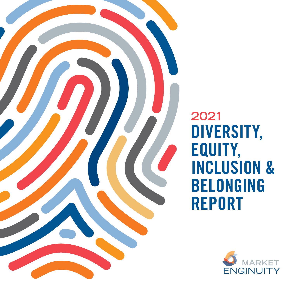

**2021** DIVERSITY, EQUITY, INCLUSION & BELONGING REPORT

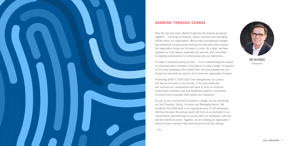Over the last two years, Market Enginuity has learned and grown together — focusing on diversity, equity, inclusion and belonging (DEIB) within our organization. We've made foundational changes and prioritized company-wide training and education that improve the organization today and for years to come. As a team, we have updated our Core Values, evaluated our policies, and committed to ongoing conversations to continuously grow our awareness.

It's been a personal journey as well — from understanding the impact on individual team members to the desire to make change. I'm grateful to the many employees who shared their personal experiences and helped me see what we need to do to move the organization forward.

Prioritizing DEIB in 2020-2021 has strengthened our culture, and we are still early in our journey. In the year ahead we will continue our conversations and work to build an inclusive culture that minimizes bias and addresses systemic inequalities to ensure every employee feels valued and respected.

As part of our commitment to systemic change, we are publishing our first Diversity, Equity, Inclusion and Belonging Report. We recognize that DEIB work is an ongoing process of self-awareness. Starting this year, the annual report will hold us accountable to our commitment, documenting our journey with our employees, partners and the clients we serve. Together, we are creating an organization where all team members feel welcome and know they belong.





## **GROWING THROUGH CHANGE**

JIM TASZAREK President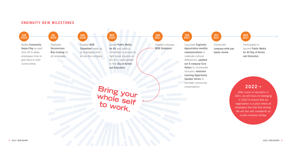## **ENGINUITY DEIB MILESTONES**



Conducted **company-wide pay equity review**

Participated in second **Public Media for All Day of Action and Education** 





# **2022**

After a year of education in 2021, we will focus on belonging in 2022 to ensure that our organization is a place where all employees feel that they belong. We will also add Juneteenth as a paid company holiday.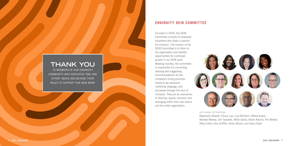# **ENGINUITY DEIB COMMITTEE**

# **THANK YOU**

TO MEMBERS OF OUR ENGINUITY COMMUNITY WHO DEDICATED TIME AND EFFORT ABOVE AND BEYOND THEIR ROLES TO SUPPORT OUR DEIB WORK

Founded in 2020, the DEIB Committee consists of employee volunteers who share a passion for inclusion. The mission of the DEIB Committee is to listen to the organization and identify opportunities for continued growth in our DEIB work. Meeting monthly, the committee is responsible for counseling, advising and suggesting recommendations for the company's hiring practices, products we represent, marketing language, and processes through the lens of inclusion. They act as champions of diversity, equity, inclusion and belonging within their own teams and the wider organization.







LEFT TO RIGHT, TOP TO BOTTOM: Stephanie Shweiki, Ebony Lee, Lisa McFarlin, Althea Evans, Randee Manley, Jim Taszarek, Millie Garza, Karen Aalund, Pat Marble, Riley Cutler, Amy Griffith, Rufus Moore, and Harry Clark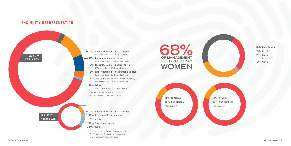# **ENGINUITY REPRESENTATION**



*origin incorporated in other races*





| 28% Baby Boomer |
|-----------------|
| 39% Gen X       |
| 31% Gen Y       |
| (Milleninials)  |
| 2% Gen Z        |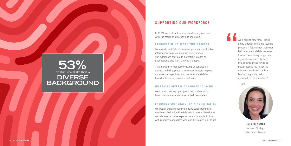# **SUPPORTING OUR WORKFORCE**

In 2021 we took active steps to diversify our team with the focus on diversity and inclusion.

#### **LAUNCHED BLIND RECRUITING PROCESS**

We asked candidates to remove personal identifiable information from résumés including names and addresses that could potentially create an unconscious bias from a hiring manager.

This allowed for equitable vetting of candidates during the hiring process to remove biases, helping us make stronger hires and consider candidates based solely on experience and skills.

# OF 2021 NEW HIRES HAVE A **53% DIVERSE BACKGROUND**

#### **INCREASED DIVERSE CANDIDATE SOURCING**

We started posting open positions on diverse job boards to source underrepresented candidates.

#### **LAUNCHED CORPORATE TRAINING INITIATIVE**

We began building comprehensive sales training for new hires that will ultimately lead to more diversity as we rely less on sales experience and are able to hire well-rounded candidates who can be trained on the job.

As a recent new hire, I loved going through the blind résumé process. I felt calmer than ever before as a candidate because I knew I was being judged on my qualifications. I believe this allowed those hiring to better assess my fit for the role and convinced me that Market Enginuity really operated out of its values."



# **"**

TARA CHESSMAN Podcast Strategic Partnerships Manager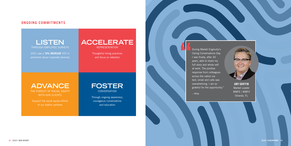

**LISTEN** THROUGH EMPLOYEE SURVEYS

**ADVANCE** THE PURSUIT OF RACIAL EQUITY WITH OUR CLIENTS

2021 saw a **19% INCREASE** YOY in sentiment about corporate diversity

> **FOSTER CONVERSATION**

Support the racial equity efforts of our station partners

**ACCELERATE** REPRESENTATION

> Thoughtful hiring practices and focus on retention

**The United States (During Market Enginuity's Caring Conversations Day, I was finally, after 30 years, able to share my full story and whole self** Caring Conversations Day, I was finally, after 30 years, able to share my full story and whole self at work. The positive response from colleagues across the nation via text, email and calls was overwhelming. I am so grateful for the opportunity."

Through ongoing awareness, courageous conversations and education

## **ONGOING COMMITMENTS**

– Amy

AMY GRIFFIN Market Leader WMFE | WMFV Orlando, FL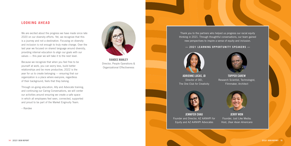RANDEE MANLEY Director, People Operations & Organizational Effectiveness



# **LOOKING AHEAD**

We are excited about the progress we have made since late 2020 on our diversity efforts. Yet, we recognize that this is a journey and not a destination. Focusing on diversity and inclusion is not enough to truly make change. Over the last year we focused on shared language around diversity, providing internal education to align our goals with our values — this year we will take it to the next level.

Because we recognize that when you feel free to be yourself at work, you can worry less, build better relationships and be more productive, 2022 is the year for us to create belonging — ensuring that our organization is a place where everyone, regardless of their background, feels that they belong.

Through on-going education, Ally and Advocate training, and continuing our Caring Conversations, we will center our activities around ensuring we create a safe space in which all employees feel seen, connected, supported and proud to be part of the Market Enginuity Team.

– Randee



Thank you to the partners who helped us progress our racial equity thinking in 2021. Through thoughtful conversations, our team gained new perspectives to inspire a sense of equity and inclusion.

#### **— 2021 LEARNING OPPORTUNITY SPEAKERS —**



ADRIENNE LUCAS, JD Director of DEI, The One Club for Creativity



JENNIFER CHAU Founder and Director, AZ AANHPI for Equity and AZ AANHPI Advocates



TOPPER CAREW Research Scientist, Technologist, Filmmaker, Architect



JERRY WON Founder, Just Like Media; Host, *Dear Asian Americans*

**14 2021 DEIB REPORT 2021 DEIB REPORT 15**